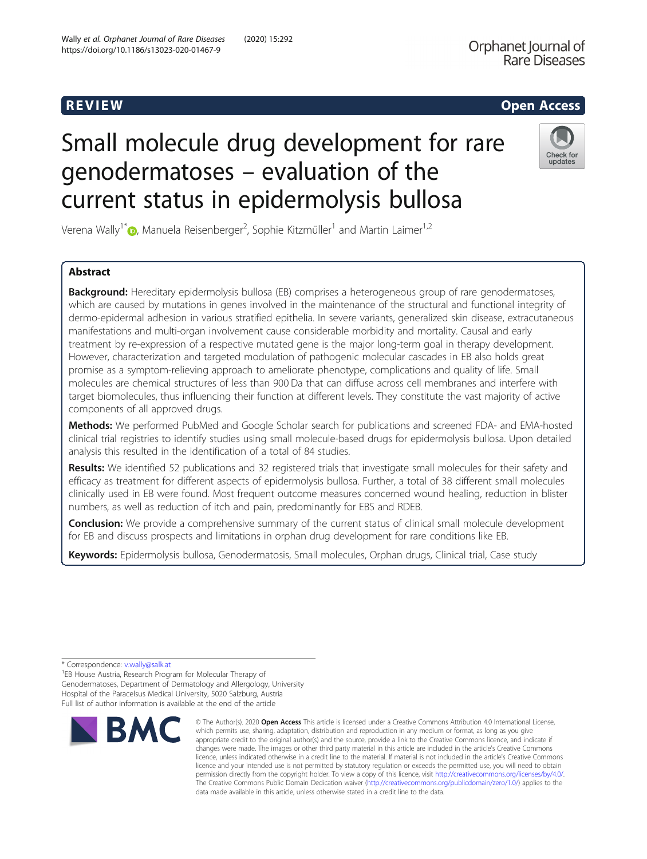## R EVI EW Open Access

# Small molecule drug development for rare genodermatoses – evaluation of the current status in epidermolysis bullosa



Verena Wally<sup>1[\\*](http://orcid.org/0000-0001-8705-3890)</sup> $\bullet$ , Manuela Reisenberger<sup>2</sup>, Sophie Kitzmüller<sup>1</sup> and Martin Laimer<sup>1,2</sup>

## Abstract

Background: Hereditary epidermolysis bullosa (EB) comprises a heterogeneous group of rare genodermatoses, which are caused by mutations in genes involved in the maintenance of the structural and functional integrity of dermo-epidermal adhesion in various stratified epithelia. In severe variants, generalized skin disease, extracutaneous manifestations and multi-organ involvement cause considerable morbidity and mortality. Causal and early treatment by re-expression of a respective mutated gene is the major long-term goal in therapy development. However, characterization and targeted modulation of pathogenic molecular cascades in EB also holds great promise as a symptom-relieving approach to ameliorate phenotype, complications and quality of life. Small molecules are chemical structures of less than 900 Da that can diffuse across cell membranes and interfere with target biomolecules, thus influencing their function at different levels. They constitute the vast majority of active components of all approved drugs.

Methods: We performed PubMed and Google Scholar search for publications and screened FDA- and EMA-hosted clinical trial registries to identify studies using small molecule-based drugs for epidermolysis bullosa. Upon detailed analysis this resulted in the identification of a total of 84 studies.

Results: We identified 52 publications and 32 registered trials that investigate small molecules for their safety and efficacy as treatment for different aspects of epidermolysis bullosa. Further, a total of 38 different small molecules clinically used in EB were found. Most frequent outcome measures concerned wound healing, reduction in blister numbers, as well as reduction of itch and pain, predominantly for EBS and RDEB.

**Conclusion:** We provide a comprehensive summary of the current status of clinical small molecule development for EB and discuss prospects and limitations in orphan drug development for rare conditions like EB.

Keywords: Epidermolysis bullosa, Genodermatosis, Small molecules, Orphan drugs, Clinical trial, Case study

\* Correspondence: [v.wally@salk.at](mailto:v.wally@salk.at) <sup>1</sup>

EB House Austria, Research Program for Molecular Therapy of Genodermatoses, Department of Dermatology and Allergology, University Hospital of the Paracelsus Medical University, 5020 Salzburg, Austria Full list of author information is available at the end of the article



<sup>©</sup> The Author(s), 2020 **Open Access** This article is licensed under a Creative Commons Attribution 4.0 International License, which permits use, sharing, adaptation, distribution and reproduction in any medium or format, as long as you give appropriate credit to the original author(s) and the source, provide a link to the Creative Commons licence, and indicate if changes were made. The images or other third party material in this article are included in the article's Creative Commons licence, unless indicated otherwise in a credit line to the material. If material is not included in the article's Creative Commons licence and your intended use is not permitted by statutory regulation or exceeds the permitted use, you will need to obtain permission directly from the copyright holder. To view a copy of this licence, visit [http://creativecommons.org/licenses/by/4.0/.](http://creativecommons.org/licenses/by/4.0/) The Creative Commons Public Domain Dedication waiver [\(http://creativecommons.org/publicdomain/zero/1.0/](http://creativecommons.org/publicdomain/zero/1.0/)) applies to the data made available in this article, unless otherwise stated in a credit line to the data.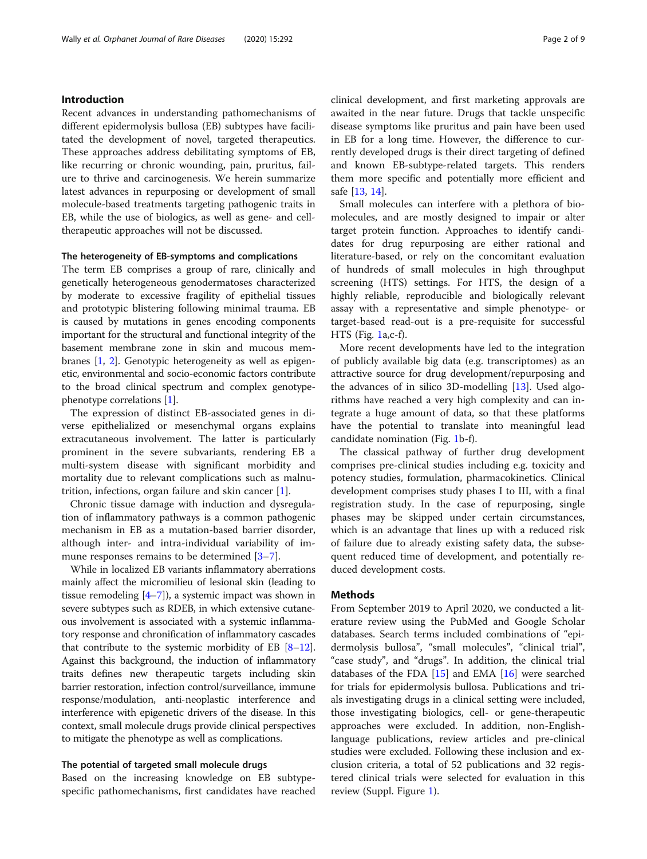#### Introduction

Recent advances in understanding pathomechanisms of different epidermolysis bullosa (EB) subtypes have facilitated the development of novel, targeted therapeutics. These approaches address debilitating symptoms of EB, like recurring or chronic wounding, pain, pruritus, failure to thrive and carcinogenesis. We herein summarize latest advances in repurposing or development of small molecule-based treatments targeting pathogenic traits in EB, while the use of biologics, as well as gene- and celltherapeutic approaches will not be discussed.

#### The heterogeneity of EB-symptoms and complications

The term EB comprises a group of rare, clinically and genetically heterogeneous genodermatoses characterized by moderate to excessive fragility of epithelial tissues and prototypic blistering following minimal trauma. EB is caused by mutations in genes encoding components important for the structural and functional integrity of the basement membrane zone in skin and mucous membranes [[1,](#page-6-0) [2](#page-6-0)]. Genotypic heterogeneity as well as epigenetic, environmental and socio-economic factors contribute to the broad clinical spectrum and complex genotypephenotype correlations [\[1\]](#page-6-0).

The expression of distinct EB-associated genes in diverse epithelialized or mesenchymal organs explains extracutaneous involvement. The latter is particularly prominent in the severe subvariants, rendering EB a multi-system disease with significant morbidity and mortality due to relevant complications such as malnutrition, infections, organ failure and skin cancer [[1](#page-6-0)].

Chronic tissue damage with induction and dysregulation of inflammatory pathways is a common pathogenic mechanism in EB as a mutation-based barrier disorder, although inter- and intra-individual variability of immune responses remains to be determined [\[3](#page-6-0)–[7\]](#page-6-0).

While in localized EB variants inflammatory aberrations mainly affect the micromilieu of lesional skin (leading to tissue remodeling  $[4–7]$  $[4–7]$  $[4–7]$  $[4–7]$  $[4–7]$ , a systemic impact was shown in severe subtypes such as RDEB, in which extensive cutaneous involvement is associated with a systemic inflammatory response and chronification of inflammatory cascades that contribute to the systemic morbidity of EB  $[8-12]$  $[8-12]$  $[8-12]$  $[8-12]$ . Against this background, the induction of inflammatory traits defines new therapeutic targets including skin barrier restoration, infection control/surveillance, immune response/modulation, anti-neoplastic interference and interference with epigenetic drivers of the disease. In this context, small molecule drugs provide clinical perspectives to mitigate the phenotype as well as complications.

#### The potential of targeted small molecule drugs

Based on the increasing knowledge on EB subtypespecific pathomechanisms, first candidates have reached clinical development, and first marketing approvals are awaited in the near future. Drugs that tackle unspecific disease symptoms like pruritus and pain have been used in EB for a long time. However, the difference to currently developed drugs is their direct targeting of defined and known EB-subtype-related targets. This renders them more specific and potentially more efficient and safe [\[13](#page-6-0), [14\]](#page-6-0).

Small molecules can interfere with a plethora of biomolecules, and are mostly designed to impair or alter target protein function. Approaches to identify candidates for drug repurposing are either rational and literature-based, or rely on the concomitant evaluation of hundreds of small molecules in high throughput screening (HTS) settings. For HTS, the design of a highly reliable, reproducible and biologically relevant assay with a representative and simple phenotype- or target-based read-out is a pre-requisite for successful HTS (Fig. [1](#page-2-0)a,c-f).

More recent developments have led to the integration of publicly available big data (e.g. transcriptomes) as an attractive source for drug development/repurposing and the advances of in silico 3D-modelling [[13](#page-6-0)]. Used algorithms have reached a very high complexity and can integrate a huge amount of data, so that these platforms have the potential to translate into meaningful lead candidate nomination (Fig. [1b](#page-2-0)-f).

The classical pathway of further drug development comprises pre-clinical studies including e.g. toxicity and potency studies, formulation, pharmacokinetics. Clinical development comprises study phases I to III, with a final registration study. In the case of repurposing, single phases may be skipped under certain circumstances, which is an advantage that lines up with a reduced risk of failure due to already existing safety data, the subsequent reduced time of development, and potentially reduced development costs.

#### Methods

From September 2019 to April 2020, we conducted a literature review using the PubMed and Google Scholar databases. Search terms included combinations of "epidermolysis bullosa", "small molecules", "clinical trial", "case study", and "drugs". In addition, the clinical trial databases of the FDA  $[15]$  $[15]$  $[15]$  and EMA  $[16]$  $[16]$  were searched for trials for epidermolysis bullosa. Publications and trials investigating drugs in a clinical setting were included, those investigating biologics, cell- or gene-therapeutic approaches were excluded. In addition, non-Englishlanguage publications, review articles and pre-clinical studies were excluded. Following these inclusion and exclusion criteria, a total of 52 publications and 32 registered clinical trials were selected for evaluation in this review (Suppl. Figure [1](#page-6-0)).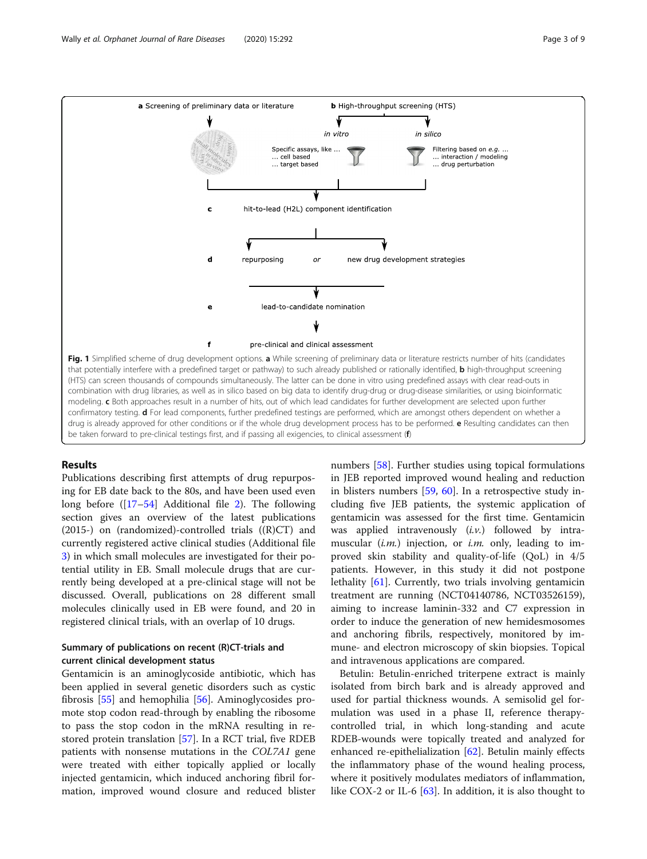<span id="page-2-0"></span>

that potentially interfere with a predefined target or pathway) to such already published or rationally identified, **b** high-throughput screening (HTS) can screen thousands of compounds simultaneously. The latter can be done in vitro using predefined assays with clear read-outs in combination with drug libraries, as well as in silico based on big data to identify drug-drug or drug-disease similarities, or using bioinformatic modeling. c Both approaches result in a number of hits, out of which lead candidates for further development are selected upon further confirmatory testing. d For lead components, further predefined testings are performed, which are amongst others dependent on whether a drug is already approved for other conditions or if the whole drug development process has to be performed. **e** Resulting candidates can then be taken forward to pre-clinical testings first, and if passing all exigencies, to clinical assessment (f)

#### Results

Publications describing first attempts of drug repurposing for EB date back to the 80s, and have been used even long before ([[17](#page-7-0)–[54](#page-7-0)] Additional file [2](#page-6-0)). The following section gives an overview of the latest publications (2015-) on (randomized)-controlled trials  $((R)CT)$  and currently registered active clinical studies (Additional file [3\)](#page-6-0) in which small molecules are investigated for their potential utility in EB. Small molecule drugs that are currently being developed at a pre-clinical stage will not be discussed. Overall, publications on 28 different small molecules clinically used in EB were found, and 20 in registered clinical trials, with an overlap of 10 drugs.

### Summary of publications on recent (R)CT-trials and current clinical development status

Gentamicin is an aminoglycoside antibiotic, which has been applied in several genetic disorders such as cystic fibrosis [\[55\]](#page-7-0) and hemophilia [\[56\]](#page-7-0). Aminoglycosides promote stop codon read-through by enabling the ribosome to pass the stop codon in the mRNA resulting in restored protein translation [[57](#page-7-0)]. In a RCT trial, five RDEB patients with nonsense mutations in the COL7A1 gene were treated with either topically applied or locally injected gentamicin, which induced anchoring fibril formation, improved wound closure and reduced blister numbers [[58\]](#page-7-0). Further studies using topical formulations in JEB reported improved wound healing and reduction in blisters numbers [\[59](#page-7-0), [60\]](#page-7-0). In a retrospective study including five JEB patients, the systemic application of gentamicin was assessed for the first time. Gentamicin was applied intravenously  $(i.v.)$  followed by intramuscular  $(i.m.)$  injection, or  $i.m.$  only, leading to improved skin stability and quality-of-life (QoL) in 4/5 patients. However, in this study it did not postpone lethality [\[61](#page-7-0)]. Currently, two trials involving gentamicin treatment are running (NCT04140786, NCT03526159), aiming to increase laminin-332 and C7 expression in order to induce the generation of new hemidesmosomes and anchoring fibrils, respectively, monitored by immune- and electron microscopy of skin biopsies. Topical and intravenous applications are compared.

Betulin: Betulin-enriched triterpene extract is mainly isolated from birch bark and is already approved and used for partial thickness wounds. A semisolid gel formulation was used in a phase II, reference therapycontrolled trial, in which long-standing and acute RDEB-wounds were topically treated and analyzed for enhanced re-epithelialization [\[62](#page-7-0)]. Betulin mainly effects the inflammatory phase of the wound healing process, where it positively modulates mediators of inflammation, like COX-2 or IL-6 [[63\]](#page-7-0). In addition, it is also thought to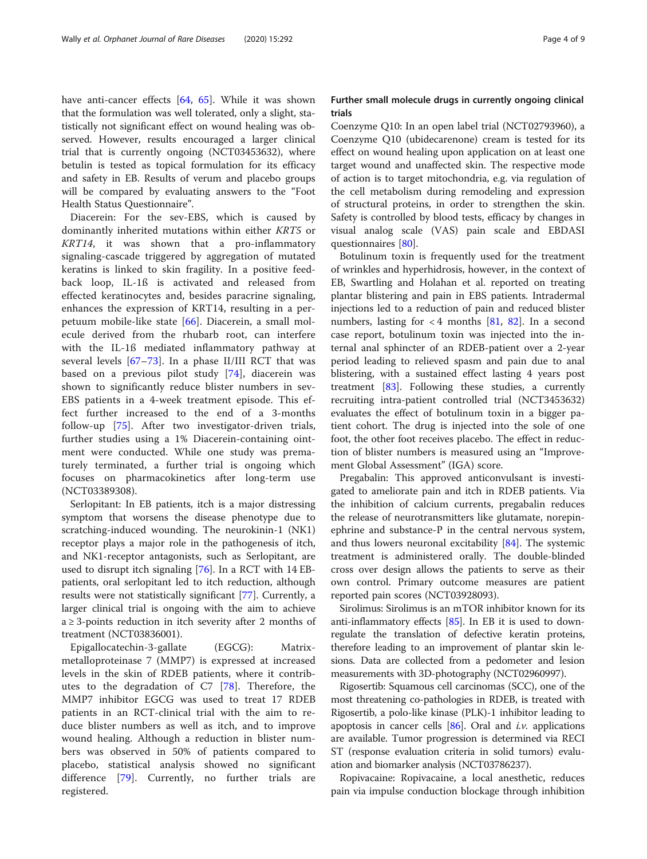have anti-cancer effects [[64](#page-7-0), [65\]](#page-7-0). While it was shown that the formulation was well tolerated, only a slight, statistically not significant effect on wound healing was observed. However, results encouraged a larger clinical trial that is currently ongoing (NCT03453632), where betulin is tested as topical formulation for its efficacy and safety in EB. Results of verum and placebo groups will be compared by evaluating answers to the "Foot Health Status Questionnaire".

Diacerein: For the sev-EBS, which is caused by dominantly inherited mutations within either KRT5 or KRT14, it was shown that a pro-inflammatory signaling-cascade triggered by aggregation of mutated keratins is linked to skin fragility. In a positive feedback loop, IL-1ß is activated and released from effected keratinocytes and, besides paracrine signaling, enhances the expression of KRT14, resulting in a perpetuum mobile-like state [[66\]](#page-7-0). Diacerein, a small molecule derived from the rhubarb root, can interfere with the IL-1ß mediated inflammatory pathway at several levels [[67](#page-7-0)–[73\]](#page-8-0). In a phase II/III RCT that was based on a previous pilot study [\[74](#page-8-0)], diacerein was shown to significantly reduce blister numbers in sev-EBS patients in a 4-week treatment episode. This effect further increased to the end of a 3-months follow-up [\[75](#page-8-0)]. After two investigator-driven trials, further studies using a 1% Diacerein-containing ointment were conducted. While one study was prematurely terminated, a further trial is ongoing which focuses on pharmacokinetics after long-term use (NCT03389308).

Serlopitant: In EB patients, itch is a major distressing symptom that worsens the disease phenotype due to scratching-induced wounding. The neurokinin-1 (NK1) receptor plays a major role in the pathogenesis of itch, and NK1-receptor antagonists, such as Serlopitant, are used to disrupt itch signaling [[76\]](#page-8-0). In a RCT with 14 EBpatients, oral serlopitant led to itch reduction, although results were not statistically significant [[77\]](#page-8-0). Currently, a larger clinical trial is ongoing with the aim to achieve  $a \geq 3$ -points reduction in itch severity after 2 months of treatment (NCT03836001).

Epigallocatechin-3-gallate (EGCG): Matrixmetalloproteinase 7 (MMP7) is expressed at increased levels in the skin of RDEB patients, where it contributes to the degradation of C7 [[78\]](#page-8-0). Therefore, the MMP7 inhibitor EGCG was used to treat 17 RDEB patients in an RCT-clinical trial with the aim to reduce blister numbers as well as itch, and to improve wound healing. Although a reduction in blister numbers was observed in 50% of patients compared to placebo, statistical analysis showed no significant difference [[79\]](#page-8-0). Currently, no further trials are registered.

### Further small molecule drugs in currently ongoing clinical trials

Coenzyme Q10: In an open label trial (NCT02793960), a Coenzyme Q10 (ubidecarenone) cream is tested for its effect on wound healing upon application on at least one target wound and unaffected skin. The respective mode of action is to target mitochondria, e.g. via regulation of the cell metabolism during remodeling and expression of structural proteins, in order to strengthen the skin. Safety is controlled by blood tests, efficacy by changes in visual analog scale (VAS) pain scale and EBDASI questionnaires [\[80\]](#page-8-0).

Botulinum toxin is frequently used for the treatment of wrinkles and hyperhidrosis, however, in the context of EB, Swartling and Holahan et al. reported on treating plantar blistering and pain in EBS patients. Intradermal injections led to a reduction of pain and reduced blister numbers, lasting for  $< 4$  months [\[81,](#page-8-0) [82\]](#page-8-0). In a second case report, botulinum toxin was injected into the internal anal sphincter of an RDEB-patient over a 2-year period leading to relieved spasm and pain due to anal blistering, with a sustained effect lasting 4 years post treatment [[83\]](#page-8-0). Following these studies, a currently recruiting intra-patient controlled trial (NCT3453632) evaluates the effect of botulinum toxin in a bigger patient cohort. The drug is injected into the sole of one foot, the other foot receives placebo. The effect in reduction of blister numbers is measured using an "Improvement Global Assessment" (IGA) score.

Pregabalin: This approved anticonvulsant is investigated to ameliorate pain and itch in RDEB patients. Via the inhibition of calcium currents, pregabalin reduces the release of neurotransmitters like glutamate, norepinephrine and substance-P in the central nervous system, and thus lowers neuronal excitability [\[84](#page-8-0)]. The systemic treatment is administered orally. The double-blinded cross over design allows the patients to serve as their own control. Primary outcome measures are patient reported pain scores (NCT03928093).

Sirolimus: Sirolimus is an mTOR inhibitor known for its anti-inflammatory effects [\[85\]](#page-8-0). In EB it is used to downregulate the translation of defective keratin proteins, therefore leading to an improvement of plantar skin lesions. Data are collected from a pedometer and lesion measurements with 3D-photography (NCT02960997).

Rigosertib: Squamous cell carcinomas (SCC), one of the most threatening co-pathologies in RDEB, is treated with Rigosertib, a polo-like kinase (PLK)-1 inhibitor leading to apoptosis in cancer cells  $[86]$  $[86]$ . Oral and i.v. applications are available. Tumor progression is determined via RECI ST (response evaluation criteria in solid tumors) evaluation and biomarker analysis (NCT03786237).

Ropivacaine: Ropivacaine, a local anesthetic, reduces pain via impulse conduction blockage through inhibition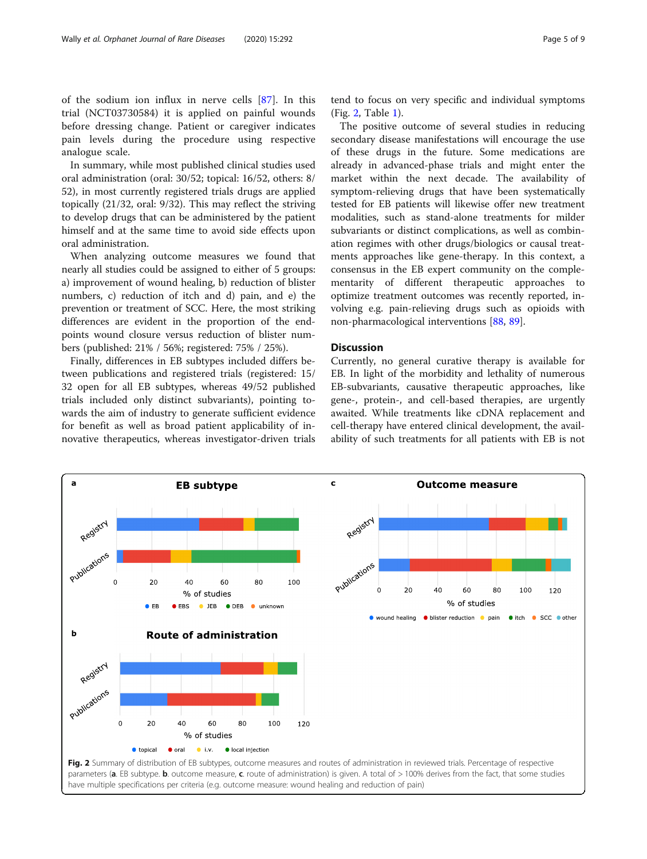<span id="page-4-0"></span>of the sodium ion influx in nerve cells [[87\]](#page-8-0). In this trial (NCT03730584) it is applied on painful wounds before dressing change. Patient or caregiver indicates pain levels during the procedure using respective analogue scale.

In summary, while most published clinical studies used oral administration (oral: 30/52; topical: 16/52, others: 8/ 52), in most currently registered trials drugs are applied topically (21/32, oral: 9/32). This may reflect the striving to develop drugs that can be administered by the patient himself and at the same time to avoid side effects upon oral administration.

When analyzing outcome measures we found that nearly all studies could be assigned to either of 5 groups: a) improvement of wound healing, b) reduction of blister numbers, c) reduction of itch and d) pain, and e) the prevention or treatment of SCC. Here, the most striking differences are evident in the proportion of the endpoints wound closure versus reduction of blister numbers (published: 21% / 56%; registered: 75% / 25%).

Finally, differences in EB subtypes included differs between publications and registered trials (registered: 15/ 32 open for all EB subtypes, whereas 49/52 published trials included only distinct subvariants), pointing towards the aim of industry to generate sufficient evidence for benefit as well as broad patient applicability of innovative therapeutics, whereas investigator-driven trials

The positive outcome of several studies in reducing secondary disease manifestations will encourage the use of these drugs in the future. Some medications are already in advanced-phase trials and might enter the market within the next decade. The availability of symptom-relieving drugs that have been systematically tested for EB patients will likewise offer new treatment modalities, such as stand-alone treatments for milder subvariants or distinct complications, as well as combination regimes with other drugs/biologics or causal treatments approaches like gene-therapy. In this context, a consensus in the EB expert community on the complementarity of different therapeutic approaches to optimize treatment outcomes was recently reported, involving e.g. pain-relieving drugs such as opioids with non-pharmacological interventions [[88,](#page-8-0) [89\]](#page-8-0).

#### Discussion

Currently, no general curative therapy is available for EB. In light of the morbidity and lethality of numerous EB-subvariants, causative therapeutic approaches, like gene-, protein-, and cell-based therapies, are urgently awaited. While treatments like cDNA replacement and cell-therapy have entered clinical development, the availability of such treatments for all patients with EB is not

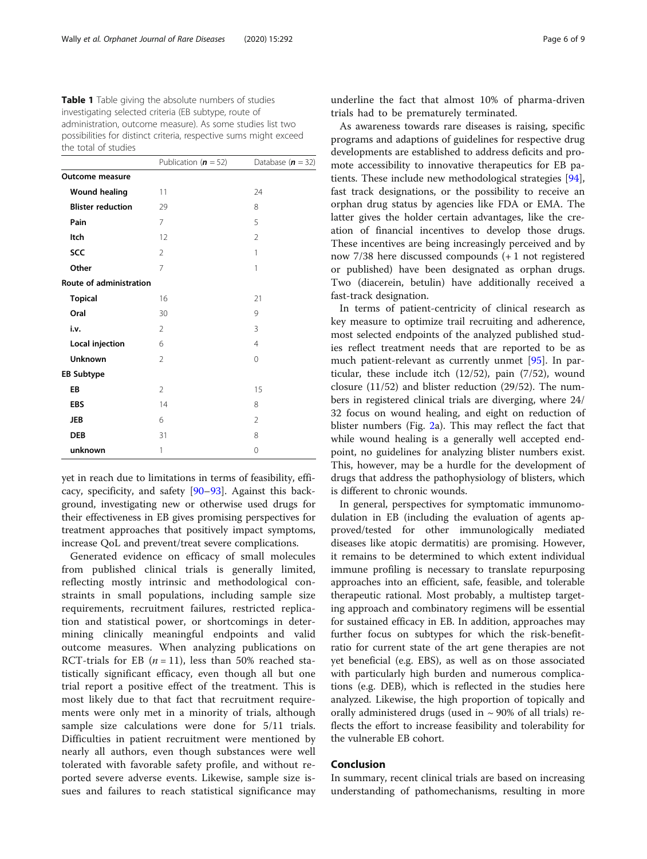<span id="page-5-0"></span>

| <b>Table 1</b> Table giving the absolute numbers of studies       |
|-------------------------------------------------------------------|
| investigating selected criteria (EB subtype, route of             |
| administration, outcome measure). As some studies list two        |
| possibilities for distinct criteria, respective sums might exceed |
| the total of studies                                              |

|                          | Publication $(n = 52)$ | Database $(n = 32)$ |
|--------------------------|------------------------|---------------------|
| <b>Outcome measure</b>   |                        |                     |
| <b>Wound healing</b>     | 11                     | 24                  |
| <b>Blister reduction</b> | 29                     | 8                   |
| Pain                     | 7                      | 5                   |
| Itch                     | 12                     | 2                   |
| SCC                      | $\overline{2}$         | 1                   |
| Other                    | 7                      | 1                   |
| Route of administration  |                        |                     |
| <b>Topical</b>           | 16                     | 21                  |
| Oral                     | 30                     | 9                   |
| i.v.                     | $\overline{2}$         | 3                   |
| Local injection          | 6                      | 4                   |
| <b>Unknown</b>           | 2                      | $\Omega$            |
| <b>EB Subtype</b>        |                        |                     |
| EB                       | $\overline{2}$         | 15                  |
| <b>EBS</b>               | 14                     | 8                   |
| <b>JEB</b>               | 6                      | 2                   |
| <b>DEB</b>               | 31                     | 8                   |
| unknown                  | 1                      | 0                   |

yet in reach due to limitations in terms of feasibility, efficacy, specificity, and safety [[90](#page-8-0)–[93\]](#page-8-0). Against this background, investigating new or otherwise used drugs for their effectiveness in EB gives promising perspectives for treatment approaches that positively impact symptoms, increase QoL and prevent/treat severe complications.

Generated evidence on efficacy of small molecules from published clinical trials is generally limited, reflecting mostly intrinsic and methodological constraints in small populations, including sample size requirements, recruitment failures, restricted replication and statistical power, or shortcomings in determining clinically meaningful endpoints and valid outcome measures. When analyzing publications on RCT-trials for EB  $(n = 11)$ , less than 50% reached statistically significant efficacy, even though all but one trial report a positive effect of the treatment. This is most likely due to that fact that recruitment requirements were only met in a minority of trials, although sample size calculations were done for 5/11 trials. Difficulties in patient recruitment were mentioned by nearly all authors, even though substances were well tolerated with favorable safety profile, and without reported severe adverse events. Likewise, sample size issues and failures to reach statistical significance may underline the fact that almost 10% of pharma-driven trials had to be prematurely terminated.

As awareness towards rare diseases is raising, specific programs and adaptions of guidelines for respective drug developments are established to address deficits and promote accessibility to innovative therapeutics for EB patients. These include new methodological strategies [\[94](#page-8-0)], fast track designations, or the possibility to receive an orphan drug status by agencies like FDA or EMA. The latter gives the holder certain advantages, like the creation of financial incentives to develop those drugs. These incentives are being increasingly perceived and by now 7/38 here discussed compounds (+ 1 not registered or published) have been designated as orphan drugs. Two (diacerein, betulin) have additionally received a fast-track designation.

In terms of patient-centricity of clinical research as key measure to optimize trail recruiting and adherence, most selected endpoints of the analyzed published studies reflect treatment needs that are reported to be as much patient-relevant as currently unmet [\[95\]](#page-8-0). In particular, these include itch (12/52), pain (7/52), wound closure (11/52) and blister reduction (29/52). The numbers in registered clinical trials are diverging, where 24/ 32 focus on wound healing, and eight on reduction of blister numbers (Fig. [2](#page-4-0)a). This may reflect the fact that while wound healing is a generally well accepted endpoint, no guidelines for analyzing blister numbers exist. This, however, may be a hurdle for the development of drugs that address the pathophysiology of blisters, which is different to chronic wounds.

In general, perspectives for symptomatic immunomodulation in EB (including the evaluation of agents approved/tested for other immunologically mediated diseases like atopic dermatitis) are promising. However, it remains to be determined to which extent individual immune profiling is necessary to translate repurposing approaches into an efficient, safe, feasible, and tolerable therapeutic rational. Most probably, a multistep targeting approach and combinatory regimens will be essential for sustained efficacy in EB. In addition, approaches may further focus on subtypes for which the risk-benefitratio for current state of the art gene therapies are not yet beneficial (e.g. EBS), as well as on those associated with particularly high burden and numerous complications (e.g. DEB), which is reflected in the studies here analyzed. Likewise, the high proportion of topically and orally administered drugs (used in  $\sim$  90% of all trials) reflects the effort to increase feasibility and tolerability for the vulnerable EB cohort.

#### Conclusion

In summary, recent clinical trials are based on increasing understanding of pathomechanisms, resulting in more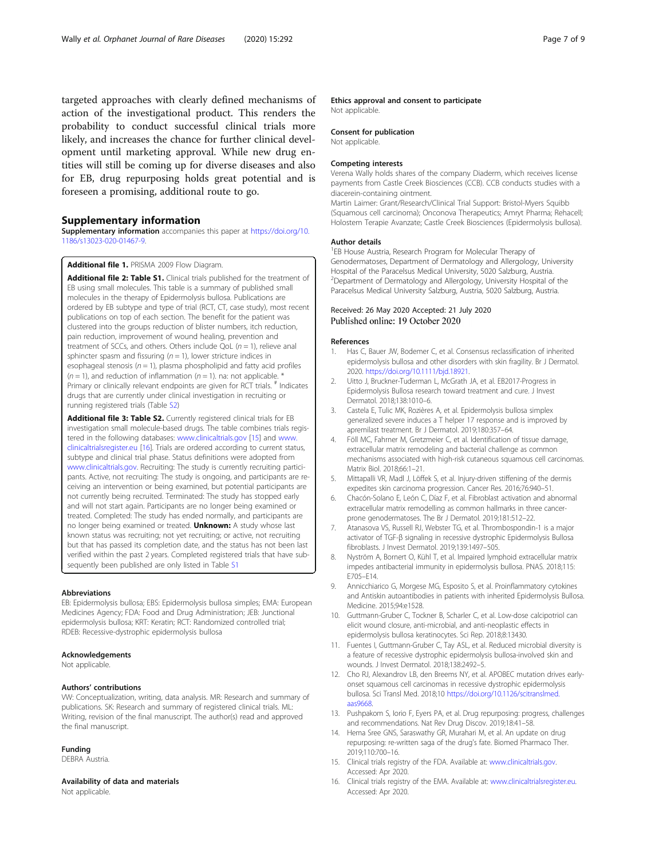<span id="page-6-0"></span>targeted approaches with clearly defined mechanisms of action of the investigational product. This renders the probability to conduct successful clinical trials more likely, and increases the chance for further clinical development until marketing approval. While new drug entities will still be coming up for diverse diseases and also for EB, drug repurposing holds great potential and is foreseen a promising, additional route to go.

#### Supplementary information

Supplementary information accompanies this paper at [https://doi.org/10.](https://doi.org/10.1186/s13023-020-01467-9) [1186/s13023-020-01467-9](https://doi.org/10.1186/s13023-020-01467-9).

#### Additional file 1. PRISMA 2009 Flow Diagram.

Additional file 2: Table S1. Clinical trials published for the treatment of EB using small molecules. This table is a summary of published small molecules in the therapy of Epidermolysis bullosa. Publications are ordered by EB subtype and type of trial (RCT, CT, case study), most recent publications on top of each section. The benefit for the patient was clustered into the groups reduction of blister numbers, itch reduction, pain reduction, improvement of wound healing, prevention and treatment of SCCs, and others. Others include QoL  $(n = 1)$ , relieve anal sphincter spasm and fissuring ( $n = 1$ ), lower stricture indices in esophageal stenosis ( $n = 1$ ), plasma phospholipid and fatty acid profiles  $(n = 1)$ , and reduction of inflammation  $(n = 1)$ . na: not applicable. \* Primary or clinically relevant endpoints are given for RCT trials. <sup>#</sup> Indicates drugs that are currently under clinical investigation in recruiting or running registered trials (Table S2)

Additional file 3: Table S2. Currently registered clinical trials for EB investigation small molecule-based drugs. The table combines trials registered in the following databases: www.clinicaltrials.gov [15] and www. clinicaltrialsregister.eu [16]. Trials are ordered according to current status, subtype and clinical trial phase. Status definitions were adopted from www.clinicaltrials.gov. Recruiting: The study is currently recruiting participants. Active, not recruiting: The study is ongoing, and participants are receiving an intervention or being examined, but potential participants are not currently being recruited. Terminated: The study has stopped early and will not start again. Participants are no longer being examined or treated. Completed: The study has ended normally, and participants are no longer being examined or treated. **Unknown:** A study whose last known status was recruiting; not yet recruiting; or active, not recruiting but that has passed its completion date, and the status has not been last verified within the past 2 years. Completed registered trials that have subsequently been published are only listed in Table S1

#### Abbreviations

EB: Epidermolysis bullosa; EBS: Epidermolysis bullosa simples; EMA: European Medicines Agency; FDA: Food and Drug Administration; JEB: Junctional epidermolysis bullosa; KRT: Keratin; RCT: Randomized controlled trial; RDEB: Recessive-dystrophic epidermolysis bullosa

#### Acknowledgements

Not applicable.

#### Authors' contributions

VW: Conceptualization, writing, data analysis. MR: Research and summary of publications. SK: Research and summary of registered clinical trials. ML: Writing, revision of the final manuscript. The author(s) read and approved the final manuscript.

#### Funding

DEBRA Austria.

Availability of data and materials

Not applicable.

#### Ethics approval and consent to participate

Not applicable.

#### Consent for publication

Not applicable.

#### Competing interests

Verena Wally holds shares of the company Diaderm, which receives license payments from Castle Creek Biosciences (CCB). CCB conducts studies with a diacerein-containing ointment.

Martin Laimer: Grant/Research/Clinical Trial Support: Bristol-Myers Squibb (Squamous cell carcinoma); Onconova Therapeutics; Amryt Pharma; Rehacell; Holostem Terapie Avanzate; Castle Creek Biosciences (Epidermolysis bullosa).

#### Author details

<sup>1</sup>EB House Austria, Research Program for Molecular Therapy of Genodermatoses, Department of Dermatology and Allergology, University Hospital of the Paracelsus Medical University, 5020 Salzburg, Austria. 2 Department of Dermatology and Allergology, University Hospital of the Paracelsus Medical University Salzburg, Austria, 5020 Salzburg, Austria.

## Received: 26 May 2020 Accepted: 21 July 2020<br>Published online: 19 October 2020

#### References

- 1. Has C, Bauer JW, Bodemer C, et al. Consensus reclassification of inherited epidermolysis bullosa and other disorders with skin fragility. Br J Dermatol. 2020. <https://doi.org/10.1111/bjd.18921>.
- 2. Uitto J, Bruckner-Tuderman L, McGrath JA, et al. EB2017-Progress in Epidermolysis Bullosa research toward treatment and cure. J Invest Dermatol. 2018;138:1010–6.
- 3. Castela E, Tulic MK, Rozières A, et al. Epidermolysis bullosa simplex generalized severe induces a T helper 17 response and is improved by apremilast treatment. Br J Dermatol. 2019;180:357–64.
- 4. Föll MC, Fahrner M, Gretzmeier C, et al. Identification of tissue damage, extracellular matrix remodeling and bacterial challenge as common mechanisms associated with high-risk cutaneous squamous cell carcinomas. Matrix Biol. 2018;66:1–21.
- 5. Mittapalli VR, Madl J, Löffek S, et al. Injury-driven stiffening of the dermis expedites skin carcinoma progression. Cancer Res. 2016;76:940–51.
- 6. Chacón-Solano E, León C, Díaz F, et al. Fibroblast activation and abnormal extracellular matrix remodelling as common hallmarks in three cancerprone genodermatoses. The Br J Dermatol. 2019;181:512–22.
- 7. Atanasova VS, Russell RJ, Webster TG, et al. Thrombospondin-1 is a major activator of TGF-β signaling in recessive dystrophic Epidermolysis Bullosa fibroblasts. J Invest Dermatol. 2019;139:1497–505.
- 8. Nyström A, Bornert O, Kühl T, et al. Impaired lymphoid extracellular matrix impedes antibacterial immunity in epidermolysis bullosa. PNAS. 2018;115: E705–E14.
- 9. Annicchiarico G, Morgese MG, Esposito S, et al. Proinflammatory cytokines and Antiskin autoantibodies in patients with inherited Epidermolysis Bullosa. Medicine. 2015;94:e1528.
- 10. Guttmann-Gruber C, Tockner B, Scharler C, et al. Low-dose calcipotriol can elicit wound closure, anti-microbial, and anti-neoplastic effects in epidermolysis bullosa keratinocytes. Sci Rep. 2018;8:13430.
- 11. Fuentes I, Guttmann-Gruber C, Tay ASL, et al. Reduced microbial diversity is a feature of recessive dystrophic epidermolysis bullosa-involved skin and wounds. J Invest Dermatol. 2018;138:2492–5.
- 12. Cho RJ, Alexandrov LB, den Breems NY, et al. APOBEC mutation drives earlyonset squamous cell carcinomas in recessive dystrophic epidermolysis bullosa. Sci Transl Med. 2018;10 [https://doi.org/10.1126/scitranslmed.](https://doi.org/10.1126/scitranslmed.aas9668) [aas9668](https://doi.org/10.1126/scitranslmed.aas9668).
- 13. Pushpakom S, Iorio F, Eyers PA, et al. Drug repurposing: progress, challenges and recommendations. Nat Rev Drug Discov. 2019;18:41–58.
- 14. Hema Sree GNS, Saraswathy GR, Murahari M, et al. An update on drug repurposing: re-written saga of the drug's fate. Biomed Pharmaco Ther. 2019;110:700–16.
- 15. Clinical trials registry of the FDA. Available at: [www.clinicaltrials.gov](http://www.clinicaltrials.gov). Accessed: Apr 2020.
- 16. Clinical trials registry of the EMA. Available at: [www.clinicaltrialsregister.eu.](http://www.clinicaltrialsregister.eu) Accessed: Apr 2020.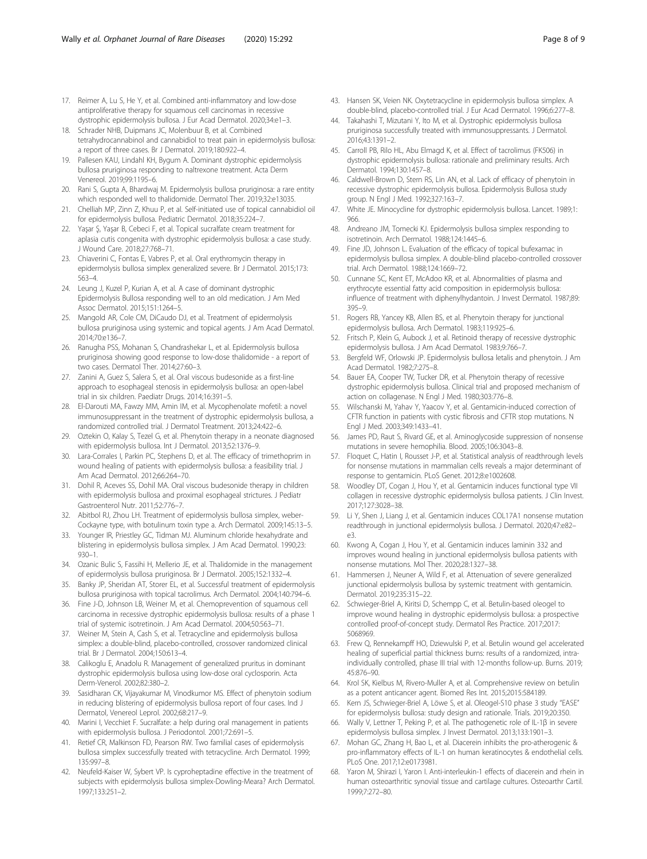- <span id="page-7-0"></span>17. Reimer A, Lu S, He Y, et al. Combined anti-inflammatory and low-dose antiproliferative therapy for squamous cell carcinomas in recessive dystrophic epidermolysis bullosa. J Eur Acad Dermatol. 2020;34:e1–3.
- 18. Schrader NHB, Duipmans JC, Molenbuur B, et al. Combined tetrahydrocannabinol and cannabidiol to treat pain in epidermolysis bullosa: a report of three cases. Br J Dermatol. 2019;180:922–4.
- 19. Pallesen KAU, Lindahl KH, Bygum A. Dominant dystrophic epidermolysis bullosa pruriginosa responding to naltrexone treatment. Acta Derm Venereol. 2019;99:1195–6.
- 20. Rani S, Gupta A, Bhardwaj M. Epidermolysis bullosa pruriginosa: a rare entity which responded well to thalidomide. Dermatol Ther. 2019;32:e13035.
- 21. Chelliah MP, Zinn Z, Khuu P, et al. Self-initiated use of topical cannabidiol oil for epidermolysis bullosa. Pediatric Dermatol. 2018;35:224–7.
- 22. Yaşar Ş, Yaşar B, Cebeci F, et al. Topical sucralfate cream treatment for aplasia cutis congenita with dystrophic epidermolysis bullosa: a case study. J Wound Care. 2018;27:768–71.
- 23. Chiaverini C, Fontas E, Vabres P, et al. Oral erythromycin therapy in epidermolysis bullosa simplex generalized severe. Br J Dermatol. 2015;173: 563–4.
- 24. Leung J, Kuzel P, Kurian A, et al. A case of dominant dystrophic Epidermolysis Bullosa responding well to an old medication. J Am Med Assoc Dermatol. 2015;151:1264–5.
- 25. Mangold AR, Cole CM, DiCaudo DJ, et al. Treatment of epidermolysis bullosa pruriginosa using systemic and topical agents. J Am Acad Dermatol. 2014;70:e136–7.
- 26. Ranugha PSS, Mohanan S, Chandrashekar L, et al. Epidermolysis bullosa pruriginosa showing good response to low-dose thalidomide - a report of two cases. Dermatol Ther. 2014;27:60–3.
- 27. Zanini A, Guez S, Salera S, et al. Oral viscous budesonide as a first-line approach to esophageal stenosis in epidermolysis bullosa: an open-label trial in six children. Paediatr Drugs. 2014;16:391–5.
- 28. El-Darouti MA, Fawzy MM, Amin IM, et al. Mycophenolate mofetil: a novel immunosuppressant in the treatment of dystrophic epidermolysis bullosa, a randomized controlled trial. J Dermatol Treatment. 2013;24:422–6.
- 29. Oztekin O, Kalay S, Tezel G, et al. Phenytoin therapy in a neonate diagnosed with epidermolysis bullosa. Int J Dermatol. 2013;52:1376–9.
- 30. Lara-Corrales I, Parkin PC, Stephens D, et al. The efficacy of trimethoprim in wound healing of patients with epidermolysis bullosa: a feasibility trial. J Am Acad Dermatol. 2012;66:264–70.
- 31. Dohil R, Aceves SS, Dohil MA. Oral viscous budesonide therapy in children with epidermolysis bullosa and proximal esophageal strictures. J Pediatr Gastroenterol Nutr. 2011;52:776–7.
- 32. Abitbol RJ, Zhou LH. Treatment of epidermolysis bullosa simplex, weber-Cockayne type, with botulinum toxin type a. Arch Dermatol. 2009;145:13–5.
- 33. Younger IR, Priestley GC, Tidman MJ. Aluminum chloride hexahydrate and blistering in epidermolysis bullosa simplex. J Am Acad Dermatol. 1990;23: 930–1.
- 34. Ozanic Bulic S, Fassihi H, Mellerio JE, et al. Thalidomide in the management of epidermolysis bullosa pruriginosa. Br J Dermatol. 2005;152:1332–4.
- 35. Banky JP, Sheridan AT, Storer EL, et al. Successful treatment of epidermolysis bullosa pruriginosa with topical tacrolimus. Arch Dermatol. 2004;140:794–6.
- 36. Fine J-D, Johnson LB, Weiner M, et al. Chemoprevention of squamous cell carcinoma in recessive dystrophic epidermolysis bullosa: results of a phase 1 trial of systemic isotretinoin. J Am Acad Dermatol. 2004;50:563–71.
- 37. Weiner M, Stein A, Cash S, et al. Tetracycline and epidermolysis bullosa simplex: a double-blind, placebo-controlled, crossover randomized clinical trial. Br J Dermatol. 2004;150:613–4.
- 38. Calikoglu E, Anadolu R. Management of generalized pruritus in dominant dystrophic epidermolysis bullosa using low-dose oral cyclosporin. Acta Derm-Venerol. 2002;82:380–2.
- 39. Sasidharan CK, Vijayakumar M, Vinodkumor MS. Effect of phenytoin sodium in reducing blistering of epidermolysis bullosa report of four cases. Ind J Dermatol, Venereol Leprol. 2002;68:217–9.
- 40. Marini I, Vecchiet F. Sucralfate: a help during oral management in patients with epidermolysis bullosa. J Periodontol. 2001;72:691–5.
- 41. Retief CR, Malkinson FD, Pearson RW. Two familial cases of epidermolysis bullosa simplex successfully treated with tetracycline. Arch Dermatol. 1999; 135:997–8.
- 42. Neufeld-Kaiser W, Sybert VP. Is cyproheptadine effective in the treatment of subjects with epidermolysis bullosa simplex-Dowling-Meara? Arch Dermatol. 1997;133:251–2.
- 43. Hansen SK, Veien NK. Oxytetracycline in epidermolysis bullosa simplex. A double-blind, placebo-controlled trial. J Eur Acad Dermatol. 1996;6:277–8.
- 44. Takahashi T, Mizutani Y, Ito M, et al. Dystrophic epidermolysis bullosa pruriginosa successfully treated with immunosuppressants. J Dermatol. 2016;43:1391–2.
- 45. Carroll PB, Rilo HL, Abu Elmagd K, et al. Effect of tacrolimus (FK506) in dystrophic epidermolysis bullosa: rationale and preliminary results. Arch Dermatol. 1994;130:1457–8.
- 46. Caldwell-Brown D, Stern RS, Lin AN, et al. Lack of efficacy of phenytoin in recessive dystrophic epidermolysis bullosa. Epidermolysis Bullosa study group. N Engl J Med. 1992;327:163–7.
- 47. White JE. Minocycline for dystrophic epidermolysis bullosa. Lancet. 1989;1: 966.
- 48. Andreano JM, Tomecki KJ. Epidermolysis bullosa simplex responding to isotretinoin. Arch Dermatol. 1988;124:1445–6.
- 49. Fine JD, Johnson L. Evaluation of the efficacy of topical bufexamac in epidermolysis bullosa simplex. A double-blind placebo-controlled crossover trial. Arch Dermatol. 1988;124:1669–72.
- 50. Cunnane SC, Kent ET, McAdoo KR, et al. Abnormalities of plasma and erythrocyte essential fatty acid composition in epidermolysis bullosa: influence of treatment with diphenylhydantoin. J Invest Dermatol. 1987;89: 395–9.
- 51. Rogers RB, Yancey KB, Allen BS, et al. Phenytoin therapy for junctional epidermolysis bullosa. Arch Dermatol. 1983;119:925–6.
- Fritsch P, Klein G, Aubock J, et al. Retinoid therapy of recessive dystrophic epidermolysis bullosa. J Am Acad Dermatol. 1983;9:766–7.
- 53. Bergfeld WF, Orlowski JP. Epidermolysis bullosa letalis and phenytoin. J Am Acad Dermatol. 1982;7:275–8.
- 54. Bauer EA, Cooper TW, Tucker DR, et al. Phenytoin therapy of recessive dystrophic epidermolysis bullosa. Clinical trial and proposed mechanism of action on collagenase. N Engl J Med. 1980;303:776–8.
- 55. Wilschanski M, Yahav Y, Yaacov Y, et al. Gentamicin-induced correction of CFTR function in patients with cystic fibrosis and CFTR stop mutations. N Engl J Med. 2003;349:1433–41.
- 56. James PD, Raut S, Rivard GE, et al. Aminoglycoside suppression of nonsense mutations in severe hemophilia. Blood. 2005;106:3043–8.
- 57. Floquet C, Hatin I, Rousset J-P, et al. Statistical analysis of readthrough levels for nonsense mutations in mammalian cells reveals a major determinant of response to gentamicin. PLoS Genet. 2012;8:e1002608.
- 58. Woodley DT, Cogan J, Hou Y, et al. Gentamicin induces functional type VII collagen in recessive dystrophic epidermolysis bullosa patients. J Clin Invest. 2017;127:3028–38.
- 59. Li Y, Shen J, Liang J, et al. Gentamicin induces COL17A1 nonsense mutation readthrough in junctional epidermolysis bullosa. J Dermatol. 2020;47:e82– e3.
- 60. Kwong A, Cogan J, Hou Y, et al. Gentamicin induces laminin 332 and improves wound healing in junctional epidermolysis bullosa patients with nonsense mutations. Mol Ther. 2020;28:1327–38.
- 61. Hammersen J, Neuner A, Wild F, et al. Attenuation of severe generalized junctional epidermolysis bullosa by systemic treatment with gentamicin. Dermatol. 2019;235:315–22.
- 62. Schwieger-Briel A, Kiritsi D, Schempp C, et al. Betulin-based oleogel to improve wound healing in dystrophic epidermolysis bullosa: a prospective controlled proof-of-concept study. Dermatol Res Practice. 2017;2017: 5068969.
- 63. Frew Q, Rennekampff HO, Dziewulski P, et al. Betulin wound gel accelerated healing of superficial partial thickness burns: results of a randomized, intraindividually controlled, phase III trial with 12-months follow-up. Burns. 2019; 45:876–90.
- 64. Krol SK, Kielbus M, Rivero-Muller A, et al. Comprehensive review on betulin as a potent anticancer agent. Biomed Res Int. 2015;2015:584189.
- Kern JS, Schwieger-Briel A, Löwe S, et al. Oleogel-S10 phase 3 study "EASE" for epidermolysis bullosa: study design and rationale. Trials. 2019;20:350.
- 66. Wally V, Lettner T, Peking P, et al. The pathogenetic role of IL-1β in severe epidermolysis bullosa simplex. J Invest Dermatol. 2013;133:1901–3.
- 67. Mohan GC, Zhang H, Bao L, et al. Diacerein inhibits the pro-atherogenic & pro-inflammatory effects of IL-1 on human keratinocytes & endothelial cells. PLoS One. 2017;12:e0173981.
- 68. Yaron M, Shirazi I, Yaron I. Anti-interleukin-1 effects of diacerein and rhein in human osteoarthritic synovial tissue and cartilage cultures. Osteoarthr Cartil. 1999;7:272–80.